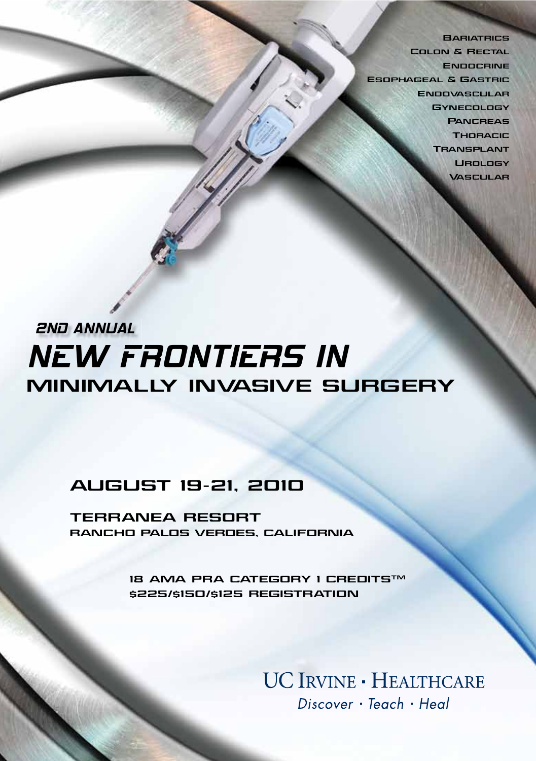**BARIATRICS** Colon & Rectal **ENDOCRINE** Esophageal & Gastric **ENDOVASCULAR** Gynecology **PANCREAS** Thoracic **TRANSPLANT** Urology **VASCULAR** 

# NEW FRONTIERS IN MINIMALLY INVASIVE SURGERY 2ND ANNUAL

## AUGUST 19-21, 2010

TERRANEA RESORT RANCHO PALOS VERDES, CALIFORNIA

> 18 AMA PRA CATEGORY 1 CREDITS™ \$225/\$150/\$125 REGISTRATION

> > **UC IRVINE - HEALTHCARE** Discover · Teach · Heal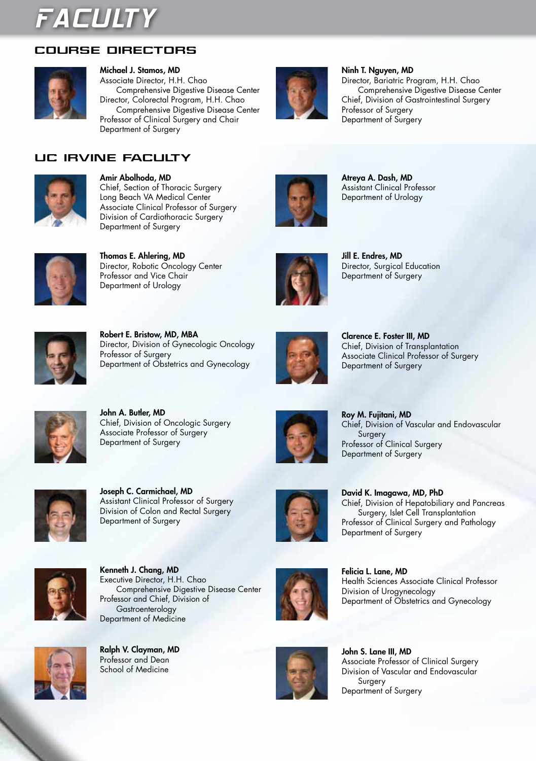

## course directors



### Michael J. Stamos, MD

Associate Director, H.H. Chao Comprehensive Digestive Disease Center Director, Colorectal Program, H.H. Chao Comprehensive Digestive Disease Center Professor of Clinical Surgery and Chair Department of Surgery



#### Ninh T. Nguyen, MD Director, Bariatric Program, H.H. Chao Comprehensive Digestive Disease Center Chief, Division of Gastrointestinal Surgery Professor of Surgery Department of Surgery

## uc irvine faculty



Amir Abolhoda, MD Chief, Section of Thoracic Surgery Long Beach VA Medical Center Associate Clinical Professor of Surgery Division of Cardiothoracic Surgery Department of Surgery



Thomas E. Ahlering, MD Director, Robotic Oncology Center Professor and Vice Chair Department of Urology



Robert E. Bristow, MD, MBA Director, Division of Gynecologic Oncology Professor of Surgery Department of Obstetrics and Gynecology



Atreya A. Dash, MD Assistant Clinical Professor Department of Urology



Jill E. Endres, MD Director, Surgical Education Department of Surgery

Roy M. Fujitani, MD

Professor of Clinical Surgery Department of Surgery

Department of Surgery

Surgery



Clarence E. Foster III, MD Chief, Division of Transplantation Associate Clinical Professor of Surgery Department of Surgery



John A. Butler, MD Chief, Division of Oncologic Surgery Associate Professor of Surgery Department of Surgery



Joseph C. Carmichael, MD Assistant Clinical Professor of Surgery Division of Colon and Rectal Surgery Department of Surgery



Kenneth J. Chang, MD Executive Director, H.H. Chao Comprehensive Digestive Disease Center Professor and Chief, Division of Gastroenterology Department of Medicine



Ralph V. Clayman, MD Professor and Dean School of Medicine



David K. Imagawa, MD, PhD Chief, Division of Hepatobiliary and Pancreas Surgery, Islet Cell Transplantation Professor of Clinical Surgery and Pathology

Chief, Division of Vascular and Endovascular



Felicia L. Lane, MD Health Sciences Associate Clinical Professor Division of Urogynecology Department of Obstetrics and Gynecology



John S. Lane III, MD Associate Professor of Clinical Surgery Division of Vascular and Endovascular Surgery Department of Surgery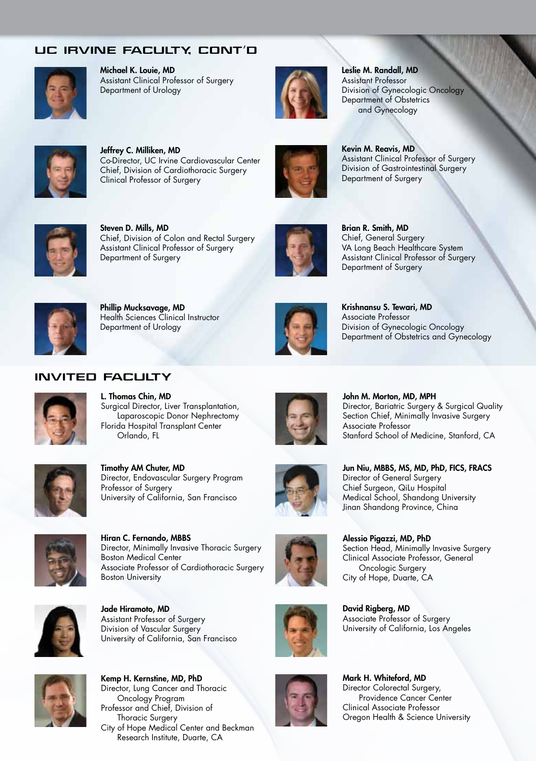## uc irvine faculty, cont'd



Michael K. Louie, MD Assistant Clinical Professor of Surgery Department of Urology



Leslie M. Randall, MD Assistant Professor Division of Gynecologic Oncology Department of Obstetrics and Gynecology



Jeffrey C. Milliken, MD Co-Director, UC Irvine Cardiovascular Center Chief, Division of Cardiothoracic Surgery Clinical Professor of Surgery



Kevin M. Reavis, MD Assistant Clinical Professor of Surgery Division of Gastrointestinal Surgery Department of Surgery



Steven D. Mills, MD Chief, Division of Colon and Rectal Surgery Assistant Clinical Professor of Surgery Department of Surgery



Brian R. Smith, MD Chief, General Surgery VA Long Beach Healthcare System Assistant Clinical Professor of Surgery Department of Surgery



Phillip Mucksavage, MD Health Sciences Clinical Instructor Department of Urology



Krishnansu S. Tewari, MD Associate Professor Division of Gynecologic Oncology Department of Obstetrics and Gynecology

Director, Bariatric Surgery & Surgical Quality Section Chief, Minimally Invasive Surgery

Stanford School of Medicine, Stanford, CA

Jun Niu, MBBS, MS, MD, PhD, FICS, FRACS

John M. Morton, MD, MPH

Director of General Surgery Chief Surgeon, QiLu Hospital

Associate Professor

## invited faculty



L. Thomas Chin, MD Surgical Director, Liver Transplantation, Laparoscopic Donor Nephrectomy Florida Hospital Transplant Center Orlando, FL



Timothy AM Chuter, MD Director, Endovascular Surgery Program Professor of Surgery University of California, San Francisco



Hiran C. Fernando, MBBS Director, Minimally Invasive Thoracic Surgery Boston Medical Center Associate Professor of Cardiothoracic Surgery Boston University



Jade Hiramoto, MD Assistant Professor of Surgery Division of Vascular Surgery University of California, San Francisco



Kemp H. Kernstine, MD, PhD Director, Lung Cancer and Thoracic Oncology Program Professor and Chief, Division of Thoracic Surgery City of Hope Medical Center and Beckman Research Institute, Duarte, CA





Medical School, Shandong University Jinan Shandong Province, China Alessio Pigazzi, MD, PhD Section Head, Minimally Invasive Surgery

Clinical Associate Professor, General Oncologic Surgery City of Hope, Duarte, CA





David Rigberg, MD Associate Professor of Surgery University of California, Los Angeles

Mark H. Whiteford, MD Director Colorectal Surgery, Providence Cancer Center Clinical Associate Professor Oregon Health & Science University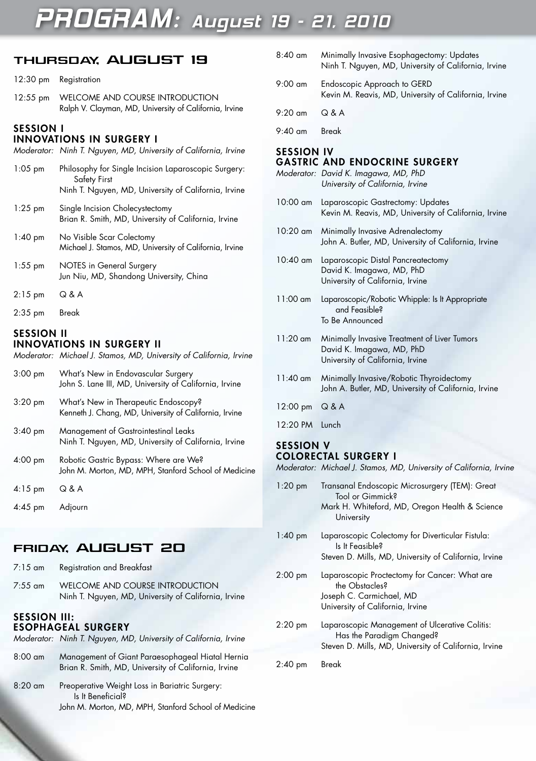# PROGRAM: August 19 - 21, 2010

## thursday, AUGUST 19

12:30 pm Registration

12:55 pm WELCOME AND COURSE INTRODUCTION Ralph V. Clayman, MD, University of California, Irvine

## SESSION I

## INNOVATIONS IN SURGERY I

|                   | Moderator: Ninh T. Nguyen, MD, University of California, Irvine                                                              |  |
|-------------------|------------------------------------------------------------------------------------------------------------------------------|--|
| $1:05$ pm         | Philosophy for Single Incision Laparoscopic Surgery:<br>Safety First<br>Ninh T. Nguyen, MD, University of California, Irvine |  |
| $1:25$ pm         | Single Incision Cholecystectomy<br>Brian R. Smith, MD, University of California, Irvine                                      |  |
| $1:40 \text{ pm}$ | No Visible Scar Colectomy<br>Michael J. Stamos, MD, University of California, Irvine                                         |  |
| $1:55$ pm         | <b>NOTES</b> in General Surgery<br>Jun Niu, MD, Shandong University, China                                                   |  |

- 2:15 pm Q & A
- 2:35 pm Break

## SESSION II INNOVATIONS IN SURGERY II

*Moderator: Michael J. Stamos, MD, University of California, Irvine*

| $3:00 \text{ pm}$ | What's New in Endovascular Surgery                     |  |  |  |  |  |  |
|-------------------|--------------------------------------------------------|--|--|--|--|--|--|
|                   | John S. Lane III, MD, University of California, Irvine |  |  |  |  |  |  |

3:20 pm What's New in Therapeutic Endoscopy? Kenneth J. Chang, MD, University of California, Irvine

3:40 pm Management of Gastrointestinal Leaks Ninh T. Nguyen, MD, University of California, Irvine

4:00 pm Robotic Gastric Bypass: Where are We? John M. Morton, MD, MPH, Stanford School of Medicine 4:15 pm Q & A

4:45 pm Adjourn

## friday, AUGUST 20

| $7:15$ am | Registration and Breakfast                                                                                          |  |  |  |  |  |
|-----------|---------------------------------------------------------------------------------------------------------------------|--|--|--|--|--|
| $7:55$ am | <b>WELCOME AND COURSE INTRODUCTION</b><br>Ninh T. Nguyen, MD, University of California, Irvine                      |  |  |  |  |  |
|           | <b>SESSION III:</b><br><b>ESOPHAGEAL SURGERY</b><br>Moderator: Ninh T. Nguyen, MD, University of California, Irvine |  |  |  |  |  |
| $8:00$ am | Management of Giant Paraesophageal Hiatal Hernia<br>Brian R. Smith, MD, University of California, Irvine            |  |  |  |  |  |
| $8:20$ am | Preoperative Weight Loss in Bariatric Surgery:<br>Is It Beneficial?                                                 |  |  |  |  |  |

John M. Morton, MD, MPH, Stanford School of Medicine

| 8:40 am       | Minimally Invasive Esophagectomy: Updates              |
|---------------|--------------------------------------------------------|
|               | Ninh T. Nguyen, MD, University of California, Irvine   |
| $\cap$ $\cap$ | $\Gamma$ $\Gamma$ $\Lambda$ $\Gamma$ $\Gamma$ $\Gamma$ |

9:00 am Endoscopic Approach to GERD Kevin M. Reavis, MD, University of California, Irvine

9:20 am Q & A

9:40 am Break

#### SESSION IV GASTRIC AND ENDOCRINE SURGERY

- *Moderator: David K. Imagawa, MD, PhD University of California, Irvine*
- 10:00 am Laparoscopic Gastrectomy: Updates Kevin M. Reavis, MD, University of California, Irvine
- 10:20 am Minimally Invasive Adrenalectomy John A. Butler, MD, University of California, Irvine
- 10:40 am Laparoscopic Distal Pancreatectomy David K. Imagawa, MD, PhD University of California, Irvine
- 11:00 am Laparoscopic/Robotic Whipple: Is It Appropriate and Feasible? To Be Announced
- 11:20 am Minimally Invasive Treatment of Liver Tumors David K. Imagawa, MD, PhD University of California, Irvine
- 11:40 am Minimally Invasive/Robotic Thyroidectomy John A. Butler, MD, University of California, Irvine
- 12:00 pm Q & A
- 12:20 PM Lunch

### SESSION V COLORECTAL SURGERY I

*Moderator: Michael J. Stamos, MD, University of California, Irvine*

- 1:20 pm Transanal Endoscopic Microsurgery (TEM): Great Tool or Gimmick? Mark H. Whiteford, MD, Oregon Health & Science **University**
- 1:40 pm Laparoscopic Colectomy for Diverticular Fistula: Is It Feasible? Steven D. Mills, MD, University of California, Irvine
- 2:00 pm Laparoscopic Proctectomy for Cancer: What are the Obstacles? Joseph C. Carmichael, MD University of California, Irvine
- 2:20 pm Laparoscopic Management of Ulcerative Colitis: Has the Paradigm Changed? Steven D. Mills, MD, University of California, Irvine

2:40 pm Break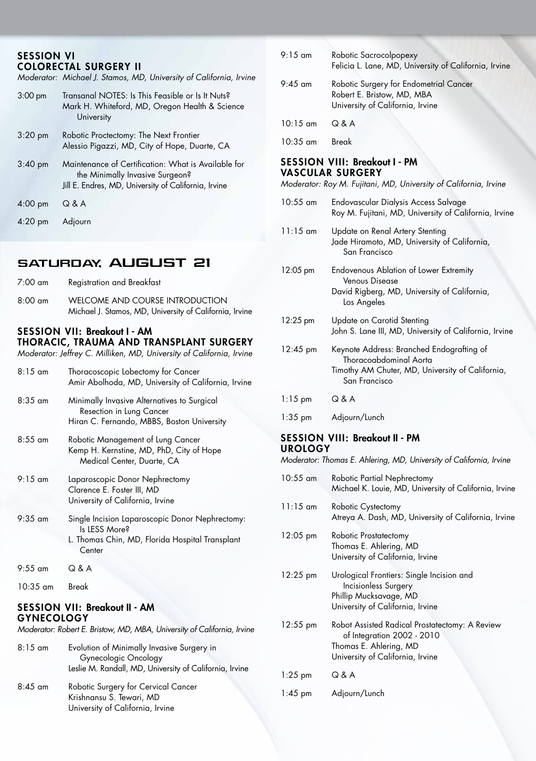## SESSION VI COLORECTAL SURGERY II

*Moderator: Michael J. Stamos, MD, University of California, Irvine*

| $3:00$ pm | Transanal NOTES: Is This Feasible or Is It Nuts? |
|-----------|--------------------------------------------------|
|           | Mark H. Whiteford, MD, Oregon Health & Science   |
|           | University                                       |

- 3:20 pm Robotic Proctectomy: The Next Frontier Alessio Pigazzi, MD, City of Hope, Duarte, CA
- 3:40 pm Maintenance of Certification: What is Available for the Minimally Invasive Surgeon? Jill E. Endres, MD, University of California, Irvine
- 4:00 pm Q & A
- 4:20 pm Adjourn

## saturday, AUGUST 21

7:00 am Registration and Breakfast

8:00 am WELCOME AND COURSE INTRODUCTION Michael J. Stamos, MD, University of California, Irvine

## SESSION VII: Breakout I - AM THORACIC, TRAUMA AND TRANSPLANT SURGERY

*Moderator: Jeffrey C. Milliken, MD, University of California, Irvine*

| $8:15$ am         | Thoracoscopic Lobectomy for Cancer<br>Amir Abolhoda, MD, University of California, Irvine                                     |  |  |  |
|-------------------|-------------------------------------------------------------------------------------------------------------------------------|--|--|--|
| $8:35$ am         | Minimally Invasive Alternatives to Surgical<br>Resection in Lung Cancer<br>Hiran C. Fernando, MBBS, Boston University         |  |  |  |
| $8:55$ am         | Robotic Management of Lung Cancer<br>Kemp H. Kernstine, MD, PhD, City of Hope<br>Medical Center, Duarte, CA                   |  |  |  |
| $9:15 \text{ cm}$ | Laparoscopic Donor Nephrectomy<br>Clarence E. Foster III, MD<br>University of California, Irvine                              |  |  |  |
| $9:35 \text{ cm}$ | Single Incision Laparoscopic Donor Nephrectomy:<br>ls LESS More?<br>L. Thomas Chin, MD, Florida Hospital Transplant<br>Center |  |  |  |

- 9:55 am Q & A
- 10:35 am Break

## SESSION VII: Breakout II - AM **GYNECOLOGY**

*Moderator: Robert E. Bristow, MD, MBA, University of California, Irvine*

| $8:15$ am | Evolution of Minimally Invasive Surgery in<br>Gynecologic Oncology<br>Leslie M. Randall, MD, University of California, Irvine |
|-----------|-------------------------------------------------------------------------------------------------------------------------------|
| $8:45$ am | Robotic Surgery for Cervical Cancer                                                                                           |

Krishnansu S. Tewari, MD University of California, Irvine

| $9:15$ am | Robotic Sacrocolpopexy<br>Felicia L. Lane, MD, University of California, Irvine                          |  |  |  |
|-----------|----------------------------------------------------------------------------------------------------------|--|--|--|
| $9:45$ am | Robotic Surgery for Endometrial Cancer<br>Robert E. Bristow, MD, MBA<br>University of California, Irvine |  |  |  |
| 10:15 am  | $Q$ & A                                                                                                  |  |  |  |
| 10:35 am  | Break                                                                                                    |  |  |  |

#### SESSION VIII: Breakout I - PM VASCULAR SURGERY

| Moderator: Roy M. Fujitani, MD, University of California, Irvine |                                                                                                                                          |  |  |  |
|------------------------------------------------------------------|------------------------------------------------------------------------------------------------------------------------------------------|--|--|--|
| 10:55 am                                                         | Endovascular Dialysis Access Salvage<br>Roy M. Fujitani, MD, University of California, Irvine                                            |  |  |  |
| 11:15 am                                                         | Update on Renal Artery Stenting<br>Jade Hiramoto, MD, University of California,<br>San Francisco                                         |  |  |  |
| 12:05 pm                                                         | Endovenous Ablation of Lower Extremity<br><b>Venous Disease</b><br>David Rigberg, MD, University of California,<br>Los Angeles           |  |  |  |
| $12:25 \text{ pm}$                                               | Update on Carotid Stenting<br>John S. Lane III, MD, University of California, Irvine                                                     |  |  |  |
| 12:45 pm                                                         | Keynote Address: Branched Endografting of<br>Thoracoabdominal Aorta<br>Timothy AM Chuter, MD, University of California,<br>San Francisco |  |  |  |
| $1:15$ pm                                                        | Q & A                                                                                                                                    |  |  |  |

1:35 pm Adjourn/Lunch

### SESSION VIII: Breakout II - PM UROLOGY

*Moderator: Thomas E. Ahlering, MD, University of California, Irvine*

| 10:55 am   | Robotic Partial Nephrectomy<br>Michael K. Louie, MD, University of California, Irvine                                                      |
|------------|--------------------------------------------------------------------------------------------------------------------------------------------|
| $11:15$ am | Robotic Cystectomy<br>Atreya A. Dash, MD, University of California, Irvine                                                                 |
| 12:05 pm   | Robotic Prostatectomy<br>Thomas E. Ahlering, MD<br>University of California, Irvine                                                        |
| 12:25 pm   | Urological Frontiers: Single Incision and<br>Incisionless Surgery<br>Phillip Mucksavage, MD<br>University of California, Irvine            |
| 12:55 pm   | Robot Assisted Radical Prostatectomy: A Review<br>of Integration 2002 - 2010<br>Thomas E. Ahlering, MD<br>University of California, Irvine |
| $1:25$ pm  | Q & A                                                                                                                                      |
| $1:45$ pm  | Adjourn/Lunch                                                                                                                              |
|            |                                                                                                                                            |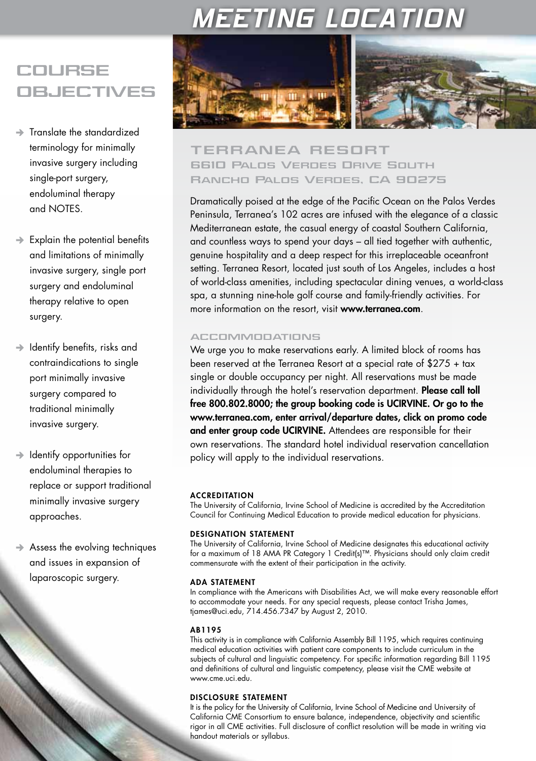# MEETING LOCATION

## COURSE **OBJECTIVES**

- $\rightarrow$  Translate the standardized terminology for minimally invasive surgery including single-port surgery, endoluminal therapy and NOTES.
- $\rightarrow$  Explain the potential benefits and limitations of minimally invasive surgery, single port surgery and endoluminal therapy relative to open surgery.
- $\rightarrow$  Identify benefits, risks and contraindications to single port minimally invasive surgery compared to traditional minimally invasive surgery.
- $\rightarrow$  Identify opportunities for endoluminal therapies to replace or support traditional minimally invasive surgery approaches.
- $\rightarrow$  Assess the evolving techniques and issues in expansion of laparoscopic surgery.



## TERRANEA RESORT 6610 Palos Verdes Drive South Rancho Palos Verdes, CA 90275

Dramatically poised at the edge of the Pacific Ocean on the Palos Verdes Peninsula, Terranea's 102 acres are infused with the elegance of a classic Mediterranean estate, the casual energy of coastal Southern California, and countless ways to spend your days – all tied together with authentic, genuine hospitality and a deep respect for this irreplaceable oceanfront setting. Terranea Resort, located just south of Los Angeles, includes a host of world-class amenities, including spectacular dining venues, a world-class spa, a stunning nine-hole golf course and family-friendly activities. For more information on the resort, visit www.terranea.com.

## accommodations

We urge you to make reservations early. A limited block of rooms has been reserved at the Terranea Resort at a special rate of \$275 + tax single or double occupancy per night. All reservations must be made individually through the hotel's reservation department. Please call toll free 800.802.8000; the group booking code is UCIRVINE. Or go to the www.terranea.com, enter arrival/departure dates, click on promo code and enter group code UCIRVINE. Attendees are responsible for their own reservations. The standard hotel individual reservation cancellation policy will apply to the individual reservations.

### ACCREDITATION

The University of California, Irvine School of Medicine is accredited by the Accreditation Council for Continuing Medical Education to provide medical education for physicians.

### DESIGNATION STATEMENT

The University of California, Irvine School of Medicine designates this educational activity for a maximum of 18 AMA PR Category 1 Credit(s)™. Physicians should only claim credit commensurate with the extent of their participation in the activity.

### ADA STATEMENT

In compliance with the Americans with Disabilities Act, we will make every reasonable effort to accommodate your needs. For any special requests, please contact Trisha James, tjames@uci.edu, 714.456.7347 by August 2, 2010.

### AB1195

This activity is in compliance with California Assembly Bill 1195, which requires continuing medical education activities with patient care components to include curriculum in the subjects of cultural and linguistic competency. For specific information regarding Bill 1195 and definitions of cultural and linguistic competency, please visit the CME website at www.cme.uci.edu.

### DISCLOSURE STATEMENT

It is the policy for the University of California, Irvine School of Medicine and University of California CME Consortium to ensure balance, independence, objectivity and scientific rigor in all CME activities. Full disclosure of conflict resolution will be made in writing via handout materials or syllabus.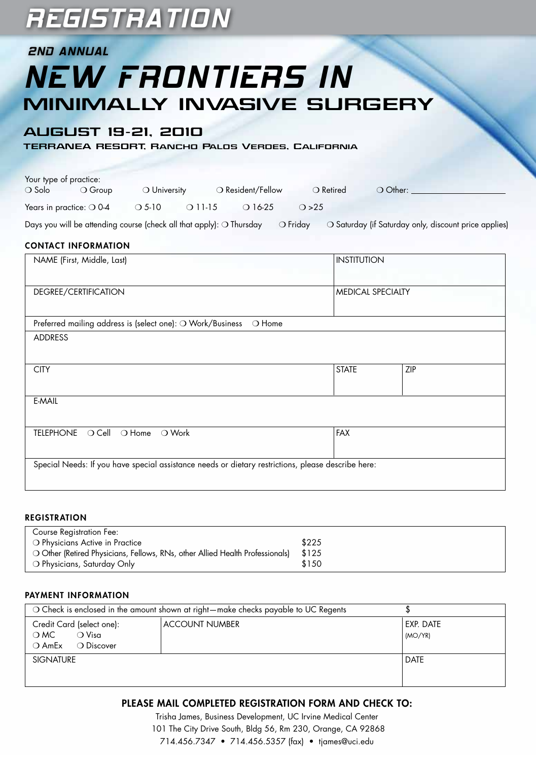# REGISTRATION

## NEW FRONTIERS IN MINIMALLY INVASIVE SURGERY 2ND ANNUAL

## AUGUST 19-21, 2010

TERRANEA RESORT, Rancho Palos Verdes, California

| Your type of practice:<br>○ Solo | $\bigcirc$ Group                  | $\bigcirc$ University |                  | $\bigcirc$ Resident/Fellow | $\bigcirc$ Retired | ○ Other: . |
|----------------------------------|-----------------------------------|-----------------------|------------------|----------------------------|--------------------|------------|
|                                  | Years in practice: $\bigcirc$ 0-4 | $\bigcirc$ 5-10       | $\bigcirc$ 11-15 | $\bigcirc$ 16-25           | $\bigcirc$ >25     |            |

Days you will be attending course (check all that apply):  $\bigcirc$  Thursday  $\bigcirc$  Sriday  $\bigcirc$  Saturday (if Saturday only, discount price applies)

## CONTACT INFORMATION

| NAME (First, Middle, Last)                                                                         | <b>INSTITUTION</b>       |            |  |  |  |
|----------------------------------------------------------------------------------------------------|--------------------------|------------|--|--|--|
| DEGREE/CERTIFICATION                                                                               | <b>MEDICAL SPECIALTY</b> |            |  |  |  |
| Preferred mailing address is (select one): O Work/Business<br>O Home                               |                          |            |  |  |  |
| ADDRESS                                                                                            |                          |            |  |  |  |
| <b>CITY</b>                                                                                        | <b>STATE</b>             | <b>ZIP</b> |  |  |  |
| E-MAIL                                                                                             |                          |            |  |  |  |
| <b>TELEPHONE</b><br>O Cell O Home<br><b>FAX</b><br>○ Work                                          |                          |            |  |  |  |
| Special Needs: If you have special assistance needs or dietary restrictions, please describe here: |                          |            |  |  |  |

### REGISTRATION

| <b>Course Registration Fee:</b>                                               |       |
|-------------------------------------------------------------------------------|-------|
| O Physicians Active in Practice                                               | \$225 |
| O Other (Retired Physicians, Fellows, RNs, other Allied Health Professionals) | \$125 |
| O Physicians, Saturday Only                                                   | \$150 |

### PAYMENT INFORMATION

| O Check is enclosed in the amount shown at right—make checks payable to UC Regents |                       |             |
|------------------------------------------------------------------------------------|-----------------------|-------------|
| Credit Card (select one):                                                          | <b>ACCOUNT NUMBER</b> | EXP. DATE   |
| ∩ Visa<br>$\bigcirc$ MC                                                            |                       | (MO/YR)     |
| $\bigcirc$ AmEx<br>○ Discover                                                      |                       |             |
| <b>SIGNATURE</b>                                                                   |                       | <b>DATE</b> |
|                                                                                    |                       |             |
|                                                                                    |                       |             |

## PLEASE MAIL COMPLETED REGISTRATION FORM AND CHECK TO:

Trisha James, Business Development, UC Irvine Medical Center

 101 The City Drive South, Bldg 56, Rm 230, Orange, CA 92868 714.456.7347 • 714.456.5357 (fax) • tjames@uci.edu